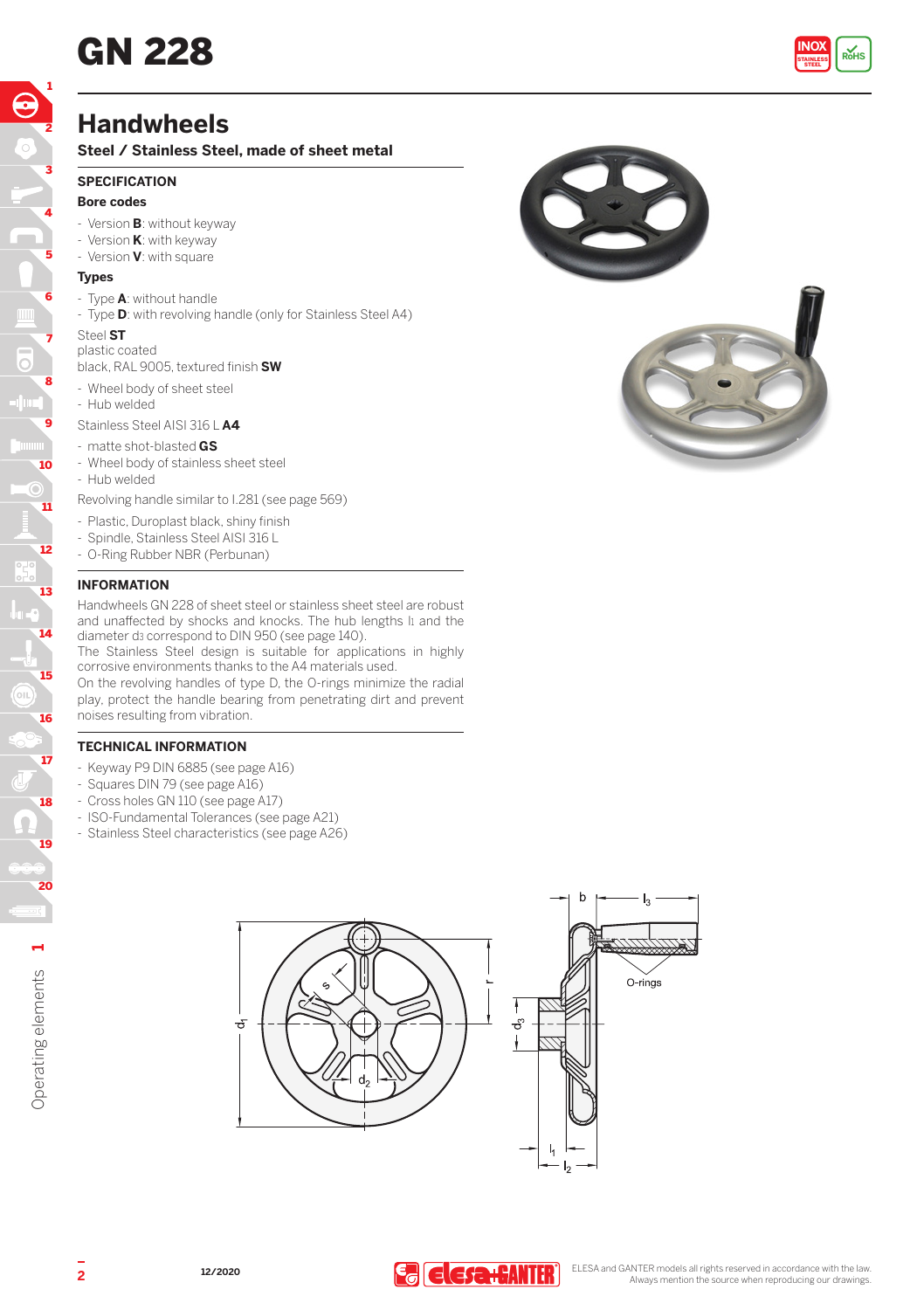

## **Handwheels**

**Steel / Stainless Steel, made of sheet metal**

#### **SPECIFICATION**

#### **Bore codes**

- Version **B**: without keyway
- Version **K**: with keyway
- Version **V**: with square

#### **Types**

- Type **A**: without handle
- Type **D**: with revolving handle (only for Stainless Steel A4)

#### Steel **ST**

plastic coated

black, RAL 9005, textured finish **SW**

- Wheel body of sheet steel
- Hub welded

Stainless Steel AISI 316 L **A4**

- matte shot-blasted **GS**
- Wheel body of stainless sheet steel
- Hub welded

Revolving handle similar to I.281 (see page 569)

- Plastic, Duroplast black, shiny finish
- Spindle, Stainless Steel AISI 316 L
- O-Ring Rubber NBR (Perbunan)

#### **INFORMATION**

Handwheels GN 228 of sheet steel or stainless sheet steel are robust and unaffected by shocks and knocks. The hub lengths II and the diameter d3 correspond to DIN 950 (see page 140).

The Stainless Steel design is suitable for applications in highly corrosive environments thanks to the A4 materials used.

On the revolving handles of type D, the O-rings minimize the radial play, protect the handle bearing from penetrating dirt and prevent noises resulting from vibration.

### **TECHNICAL INFORMATION**

- Keyway P9 DIN 6885 (see page A16)
- Squares DIN 79 (see page A16)
- Cross holes GN 110 (see page A17)
- ISO-Fundamental Tolerances (see page A21)
- Stainless Steel characteristics (see page A26)





**1**

18

17

16

15

14

13

12

11

10

ō

9

8

7

6

5

4

3

2

1

19

20

Operating elements

Operating elements